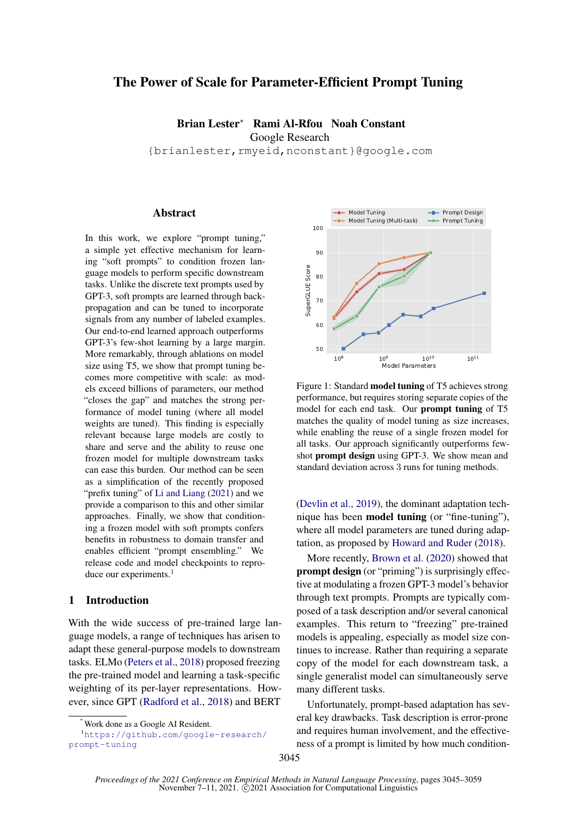# The Power of Scale for Parameter-Efficient Prompt Tuning

Brian Lester<sup>∗</sup> Rami Al-Rfou Noah Constant Google Research

{brianlester,rmyeid,nconstant}@google.com

# **Abstract**

In this work, we explore "prompt tuning," a simple yet effective mechanism for learning "soft prompts" to condition frozen language models to perform specific downstream tasks. Unlike the discrete text prompts used by GPT-3, soft prompts are learned through backpropagation and can be tuned to incorporate signals from any number of labeled examples. Our end-to-end learned approach outperforms GPT-3's few-shot learning by a large margin. More remarkably, through ablations on model size using T5, we show that prompt tuning becomes more competitive with scale: as models exceed billions of parameters, our method "closes the gap" and matches the strong performance of model tuning (where all model weights are tuned). This finding is especially relevant because large models are costly to share and serve and the ability to reuse one frozen model for multiple downstream tasks can ease this burden. Our method can be seen as a simplification of the recently proposed "prefix tuning" of [Li and Liang](#page-10-0) [\(2021\)](#page-10-0) and we provide a comparison to this and other similar approaches. Finally, we show that conditioning a frozen model with soft prompts confers benefits in robustness to domain transfer and enables efficient "prompt ensembling." We release code and model checkpoints to repro-duce our experiments.<sup>[1](#page-0-0)</sup>

# 1 Introduction

With the wide success of pre-trained large language models, a range of techniques has arisen to adapt these general-purpose models to downstream tasks. ELMo [\(Peters et al.,](#page-10-1) [2018\)](#page-10-1) proposed freezing the pre-trained model and learning a task-specific weighting of its per-layer representations. However, since GPT [\(Radford et al.,](#page-10-2) [2018\)](#page-10-2) and BERT

<span id="page-0-1"></span>

Figure 1: Standard model tuning of T5 achieves strong performance, but requires storing separate copies of the model for each end task. Our prompt tuning of T5 matches the quality of model tuning as size increases. while enabling the reuse of a single frozen model for all tasks. Our approach significantly outperforms fewshot prompt design using GPT-3. We show mean and standard deviation across 3 runs for tuning methods.

[\(Devlin et al.,](#page-9-0) [2019\)](#page-9-0), the dominant adaptation technique has been model tuning (or "fine-tuning"), where all model parameters are tuned during adaptation, as proposed by [Howard and Ruder](#page-9-1) [\(2018\)](#page-9-1).

More recently, [Brown et al.](#page-9-2) [\(2020\)](#page-9-2) showed that prompt design (or "priming") is surprisingly effective at modulating a frozen GPT-3 model's behavior through text prompts. Prompts are typically composed of a task description and/or several canonical examples. This return to "freezing" pre-trained models is appealing, especially as model size continues to increase. Rather than requiring a separate copy of the model for each downstream task, a single generalist model can simultaneously serve many different tasks.

Unfortunately, prompt-based adaptation has several key drawbacks. Task description is error-prone and requires human involvement, and the effectiveness of a prompt is limited by how much condition-

<span id="page-0-0"></span><sup>∗</sup>Work done as a Google AI Resident.

<sup>1</sup>[https://github.com/google-research/](https://github.com/google-research/prompt-tuning) [prompt-tuning](https://github.com/google-research/prompt-tuning)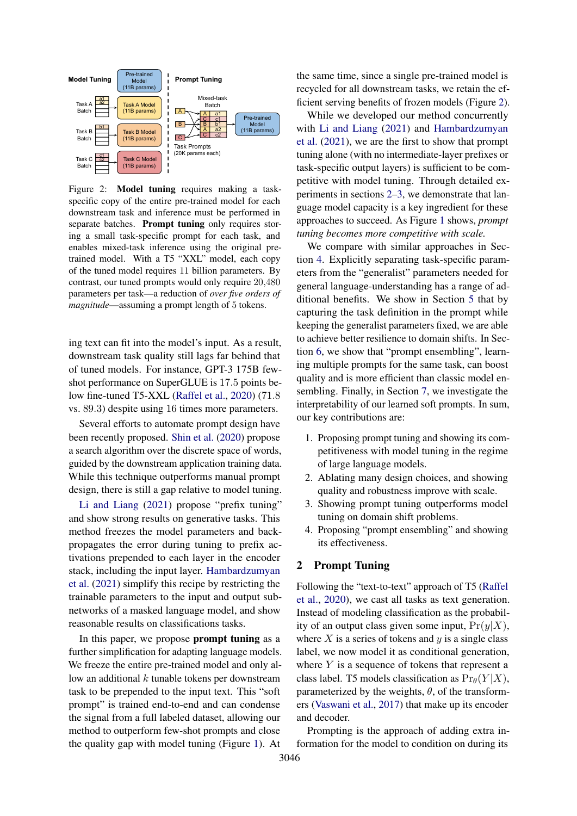<span id="page-1-0"></span>

Figure 2: Model tuning requires making a taskspecific copy of the entire pre-trained model for each downstream task and inference must be performed in separate batches. Prompt tuning only requires storing a small task-specific prompt for each task, and enables mixed-task inference using the original pretrained model. With a T5 "XXL" model, each copy of the tuned model requires 11 billion parameters. By contrast, our tuned prompts would only require 20,480 parameters per task—a reduction of *over five orders of magnitude*—assuming a prompt length of 5 tokens.

ing text can fit into the model's input. As a result, downstream task quality still lags far behind that of tuned models. For instance, GPT-3 175B fewshot performance on SuperGLUE is 17.5 points below fine-tuned T5-XXL [\(Raffel et al.,](#page-10-3) [2020\)](#page-10-3) (71.8 vs. 89.3) despite using 16 times more parameters.

Several efforts to automate prompt design have been recently proposed. [Shin et al.](#page-11-0) [\(2020\)](#page-11-0) propose a search algorithm over the discrete space of words, guided by the downstream application training data. While this technique outperforms manual prompt design, there is still a gap relative to model tuning.

[Li and Liang](#page-10-0) [\(2021\)](#page-10-0) propose "prefix tuning" and show strong results on generative tasks. This method freezes the model parameters and backpropagates the error during tuning to prefix activations prepended to each layer in the encoder stack, including the input layer. [Hambardzumyan](#page-9-3) [et al.](#page-9-3) [\(2021\)](#page-9-3) simplify this recipe by restricting the trainable parameters to the input and output subnetworks of a masked language model, and show reasonable results on classifications tasks.

In this paper, we propose prompt tuning as a further simplification for adapting language models. We freeze the entire pre-trained model and only allow an additional  $k$  tunable tokens per downstream task to be prepended to the input text. This "soft prompt" is trained end-to-end and can condense the signal from a full labeled dataset, allowing our method to outperform few-shot prompts and close the quality gap with model tuning (Figure [1\)](#page-0-1). At

the same time, since a single pre-trained model is recycled for all downstream tasks, we retain the efficient serving benefits of frozen models (Figure [2\)](#page-1-0).

While we developed our method concurrently with [Li and Liang](#page-10-0) [\(2021\)](#page-10-0) and [Hambardzumyan](#page-9-3) [et al.](#page-9-3) [\(2021\)](#page-9-3), we are the first to show that prompt tuning alone (with no intermediate-layer prefixes or task-specific output layers) is sufficient to be competitive with model tuning. Through detailed experiments in sections [2–](#page-1-1)[3,](#page-3-0) we demonstrate that language model capacity is a key ingredient for these approaches to succeed. As Figure [1](#page-0-1) shows, *prompt tuning becomes more competitive with scale.*

We compare with similar approaches in Section [4.](#page-5-0) Explicitly separating task-specific parameters from the "generalist" parameters needed for general language-understanding has a range of additional benefits. We show in Section [5](#page-6-0) that by capturing the task definition in the prompt while keeping the generalist parameters fixed, we are able to achieve better resilience to domain shifts. In Section [6,](#page-7-0) we show that "prompt ensembling", learning multiple prompts for the same task, can boost quality and is more efficient than classic model ensembling. Finally, in Section [7,](#page-8-0) we investigate the interpretability of our learned soft prompts. In sum, our key contributions are:

- 1. Proposing prompt tuning and showing its competitiveness with model tuning in the regime of large language models.
- 2. Ablating many design choices, and showing quality and robustness improve with scale.
- 3. Showing prompt tuning outperforms model tuning on domain shift problems.
- 4. Proposing "prompt ensembling" and showing its effectiveness.

# <span id="page-1-1"></span>2 Prompt Tuning

Following the "text-to-text" approach of T5 [\(Raffel](#page-10-3) [et al.,](#page-10-3) [2020\)](#page-10-3), we cast all tasks as text generation. Instead of modeling classification as the probability of an output class given some input,  $Pr(y|X)$ , where  $X$  is a series of tokens and  $y$  is a single class label, we now model it as conditional generation, where  $Y$  is a sequence of tokens that represent a class label. T5 models classification as  $Pr_{\theta}(Y|X)$ , parameterized by the weights,  $\theta$ , of the transformers [\(Vaswani et al.,](#page-11-1) [2017\)](#page-11-1) that make up its encoder and decoder.

Prompting is the approach of adding extra information for the model to condition on during its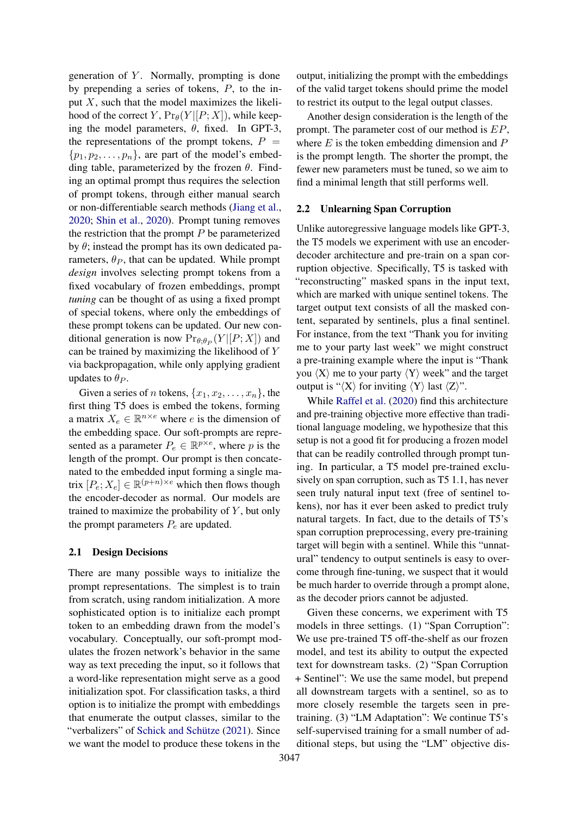generation of  $Y$ . Normally, prompting is done by prepending a series of tokens, P, to the input  $X$ , such that the model maximizes the likelihood of the correct Y,  $Pr_{\theta}(Y | [P; X])$ , while keeping the model parameters,  $\theta$ , fixed. In GPT-3, the representations of the prompt tokens,  $P =$  $\{p_1, p_2, \ldots, p_n\}$ , are part of the model's embedding table, parameterized by the frozen  $\theta$ . Finding an optimal prompt thus requires the selection of prompt tokens, through either manual search or non-differentiable search methods [\(Jiang et al.,](#page-9-4) [2020;](#page-9-4) [Shin et al.,](#page-11-0) [2020\)](#page-11-0). Prompt tuning removes the restriction that the prompt  $P$  be parameterized by  $\theta$ ; instead the prompt has its own dedicated parameters,  $\theta_P$ , that can be updated. While prompt *design* involves selecting prompt tokens from a fixed vocabulary of frozen embeddings, prompt *tuning* can be thought of as using a fixed prompt of special tokens, where only the embeddings of these prompt tokens can be updated. Our new conditional generation is now  $Pr_{\theta, \theta_P}(Y | [P; X])$  and can be trained by maximizing the likelihood of Y via backpropagation, while only applying gradient updates to  $\theta_P$ .

Given a series of *n* tokens,  $\{x_1, x_2, \ldots, x_n\}$ , the first thing T5 does is embed the tokens, forming a matrix  $X_e \in \mathbb{R}^{n \times e}$  where e is the dimension of the embedding space. Our soft-prompts are represented as a parameter  $P_e \in \mathbb{R}^{p \times e}$ , where p is the length of the prompt. Our prompt is then concatenated to the embedded input forming a single matrix  $[P_e; X_e] \in \mathbb{R}^{(p+n)\times e}$  which then flows though the encoder-decoder as normal. Our models are trained to maximize the probability of  $Y$ , but only the prompt parameters  $P_e$  are updated.

#### 2.1 Design Decisions

There are many possible ways to initialize the prompt representations. The simplest is to train from scratch, using random initialization. A more sophisticated option is to initialize each prompt token to an embedding drawn from the model's vocabulary. Conceptually, our soft-prompt modulates the frozen network's behavior in the same way as text preceding the input, so it follows that a word-like representation might serve as a good initialization spot. For classification tasks, a third option is to initialize the prompt with embeddings that enumerate the output classes, similar to the "verbalizers" of [Schick and Schütze](#page-11-2) [\(2021\)](#page-11-2). Since we want the model to produce these tokens in the

output, initializing the prompt with the embeddings of the valid target tokens should prime the model to restrict its output to the legal output classes.

Another design consideration is the length of the prompt. The parameter cost of our method is EP, where  $E$  is the token embedding dimension and  $P$ is the prompt length. The shorter the prompt, the fewer new parameters must be tuned, so we aim to find a minimal length that still performs well.

# <span id="page-2-0"></span>2.2 Unlearning Span Corruption

Unlike autoregressive language models like GPT-3, the T5 models we experiment with use an encoderdecoder architecture and pre-train on a span corruption objective. Specifically, T5 is tasked with "reconstructing" masked spans in the input text, which are marked with unique sentinel tokens. The target output text consists of all the masked content, separated by sentinels, plus a final sentinel. For instance, from the text "Thank you for inviting me to your party last week" we might construct a pre-training example where the input is "Thank you  $\langle X \rangle$  me to your party  $\langle Y \rangle$  week" and the target output is " $\langle X \rangle$  for inviting  $\langle Y \rangle$  last  $\langle Z \rangle$ ".

While [Raffel et al.](#page-10-3) [\(2020\)](#page-10-3) find this architecture and pre-training objective more effective than traditional language modeling, we hypothesize that this setup is not a good fit for producing a frozen model that can be readily controlled through prompt tuning. In particular, a T5 model pre-trained exclusively on span corruption, such as T5 1.1, has never seen truly natural input text (free of sentinel tokens), nor has it ever been asked to predict truly natural targets. In fact, due to the details of T5's span corruption preprocessing, every pre-training target will begin with a sentinel. While this "unnatural" tendency to output sentinels is easy to overcome through fine-tuning, we suspect that it would be much harder to override through a prompt alone, as the decoder priors cannot be adjusted.

Given these concerns, we experiment with T5 models in three settings. (1) "Span Corruption": We use pre-trained T5 off-the-shelf as our frozen model, and test its ability to output the expected text for downstream tasks. (2) "Span Corruption + Sentinel": We use the same model, but prepend all downstream targets with a sentinel, so as to more closely resemble the targets seen in pretraining. (3) "LM Adaptation": We continue T5's self-supervised training for a small number of additional steps, but using the "LM" objective dis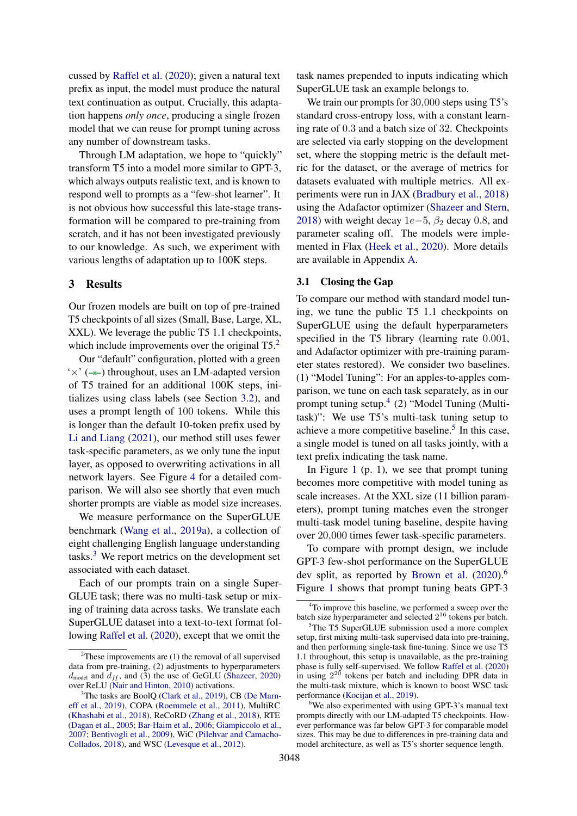cussed by [Raffel et al.](#page-10-3) [\(2020\)](#page-10-3); given a natural text prefix as input, the model must produce the natural text continuation as output. Crucially, this adaptation happens *only once*, producing a single frozen model that we can reuse for prompt tuning across any number of downstream tasks.

Through LM adaptation, we hope to "quickly" transform T5 into a model more similar to GPT-3, which always outputs realistic text, and is known to respond well to prompts as a "few-shot learner". It is not obvious how successful this late-stage transformation will be compared to pre-training from scratch, and it has not been investigated previously to our knowledge. As such, we experiment with various lengths of adaptation up to 100K steps.

### <span id="page-3-0"></span>3 Results

Our frozen models are built on top of pre-trained T5 checkpoints of all sizes (Small, Base, Large, XL, XXL). We leverage the public T5 1.1 checkpoints, which include improvements over the original T5.<sup>[2](#page-3-1)</sup>

Our "default" configuration, plotted with a green  $\forall x' (\rightarrow)$  throughout, uses an LM-adapted version of T5 trained for an additional 100K steps, initializes using class labels (see Section [3.2\)](#page-4-0), and uses a prompt length of 100 tokens. While this is longer than the default 10-token prefix used by [Li and Liang](#page-10-0) [\(2021\)](#page-10-0), our method still uses fewer task-specific parameters, as we only tune the input layer, as opposed to overwriting activations in all network layers. See Figure [4](#page-5-1) for a detailed comparison. We will also see shortly that even much shorter prompts are viable as model size increases.

We measure performance on the SuperGLUE benchmark [\(Wang et al.,](#page-11-3) [2019a\)](#page-11-3), a collection of eight challenging English language understanding tasks.[3](#page-3-2) We report metrics on the development set associated with each dataset.

Each of our prompts train on a single Super-GLUE task; there was no multi-task setup or mixing of training data across tasks. We translate each SuperGLUE dataset into a text-to-text format following [Raffel et al.](#page-10-3) [\(2020\)](#page-10-3), except that we omit the

task names prepended to inputs indicating which SuperGLUE task an example belongs to.

We train our prompts for 30,000 steps using T5's standard cross-entropy loss, with a constant learning rate of 0.3 and a batch size of 32. Checkpoints are selected via early stopping on the development set, where the stopping metric is the default metric for the dataset, or the average of metrics for datasets evaluated with multiple metrics. All experiments were run in JAX [\(Bradbury et al.,](#page-8-3) [2018\)](#page-8-3) using the Adafactor optimizer [\(Shazeer and Stern,](#page-11-7) [2018\)](#page-11-7) with weight decay 1e–5,  $\beta_2$  decay 0.8, and parameter scaling off. The models were implemented in Flax [\(Heek et al.,](#page-9-10) [2020\)](#page-9-10). More details are available in Appendix [A.](#page-12-0)

### 3.1 Closing the Gap

To compare our method with standard model tuning, we tune the public T5 1.1 checkpoints on SuperGLUE using the default hyperparameters specified in the T5 library (learning rate 0.001, and Adafactor optimizer with pre-training parameter states restored). We consider two baselines. (1) "Model Tuning": For an apples-to-apples comparison, we tune on each task separately, as in our prompt tuning setup.<sup>[4](#page-3-3)</sup> (2) "Model Tuning (Multitask)": We use T5's multi-task tuning setup to achieve a more competitive baseline. $5$  In this case, a single model is tuned on all tasks jointly, with a text prefix indicating the task name.

In Figure [1](#page-0-1) (p. 1), we see that prompt tuning becomes more competitive with model tuning as scale increases. At the XXL size (11 billion parameters), prompt tuning matches even the stronger multi-task model tuning baseline, despite having over 20,000 times fewer task-specific parameters.

To compare with prompt design, we include GPT-3 few-shot performance on the SuperGLUE dev split, as reported by [Brown et al.](#page-9-2)  $(2020)^6$  $(2020)^6$  $(2020)^6$ Figure [1](#page-0-1) shows that prompt tuning beats GPT-3

<span id="page-3-1"></span> $2$ These improvements are (1) the removal of all supervised data from pre-training, (2) adjustments to hyperparameters  $d_{\text{model}}$  and  $d_{ff}$ , and (3) the use of GeGLU [\(Shazeer,](#page-11-4) [2020\)](#page-11-4) over ReLU [\(Nair and Hinton,](#page-10-4) [2010\)](#page-10-4) activations.

<span id="page-3-2"></span><sup>&</sup>lt;sup>3</sup>The tasks are BoolO [\(Clark et al.,](#page-9-5) [2019\)](#page-9-5), CB [\(De Marn](#page-9-6)[eff et al.,](#page-9-6) [2019\)](#page-9-6), COPA [\(Roemmele et al.,](#page-11-5) [2011\)](#page-11-5), MultiRC [\(Khashabi et al.,](#page-9-7) [2018\)](#page-9-7), ReCoRD [\(Zhang et al.,](#page-11-6) [2018\)](#page-11-6), RTE [\(Dagan et al.,](#page-9-8) [2005;](#page-9-8) [Bar-Haim et al.,](#page-8-1) [2006;](#page-8-1) [Giampiccolo et al.,](#page-9-9) [2007;](#page-9-9) [Bentivogli et al.,](#page-8-2) [2009\)](#page-8-2), WiC [\(Pilehvar and Camacho-](#page-10-5)[Collados,](#page-10-5) [2018\)](#page-10-5), and WSC [\(Levesque et al.,](#page-10-6) [2012\)](#page-10-6).

<span id="page-3-3"></span><sup>4</sup>To improve this baseline, we performed a sweep over the batch size hyperparameter and selected 2<sup>16</sup> tokens per batch.

<span id="page-3-4"></span><sup>&</sup>lt;sup>5</sup>The T5 SuperGLUE submission used a more complex setup, first mixing multi-task supervised data into pre-training, and then performing single-task fine-tuning. Since we use T5 1.1 throughout, this setup is unavailable, as the pre-training phase is fully self-supervised. We follow [Raffel et al.](#page-10-3) [\(2020\)](#page-10-3) in using  $2^{20}$  tokens per batch and including DPR data in the multi-task mixture, which is known to boost WSC task performance [\(Kocijan et al.,](#page-10-7) [2019\)](#page-10-7).

<span id="page-3-5"></span> $6$ We also experimented with using GPT-3's manual text prompts directly with our LM-adapted T5 checkpoints. However performance was far below GPT-3 for comparable model sizes. This may be due to differences in pre-training data and model architecture, as well as T5's shorter sequence length.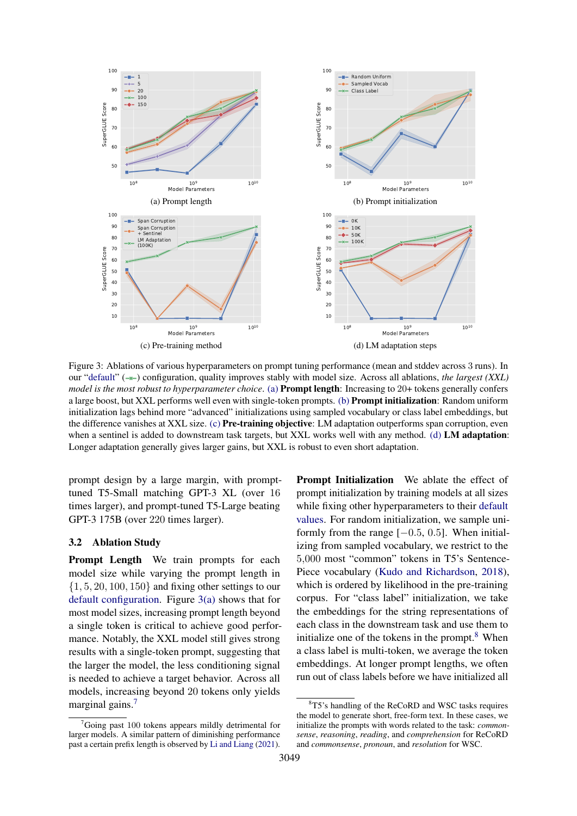<span id="page-4-1"></span>

Figure 3: Ablations of various hyperparameters on prompt tuning performance (mean and stddev across 3 runs). In our ["default"](#page-3-0) ( $\rightarrow$ ) configuration, quality improves stably with model size. Across all ablations, *the largest (XXL) model is the most robust to hyperparameter choice.* [\(a\)](#page-4-1) **Prompt length**: Increasing to 20+ tokens generally confers a large boost, but XXL performs well even with single-token prompts. [\(b\)](#page-4-1) Prompt initialization: Random uniform initialization lags behind more "advanced" initializations using sampled vocabulary or class label embeddings, but the difference vanishes at XXL size. [\(c\)](#page-4-1) Pre-training objective: LM adaptation outperforms span corruption, even when a sentinel is added to downstream task targets, but XXL works well with any method. [\(d\)](#page-4-1) LM adaptation: Longer adaptation generally gives larger gains, but XXL is robust to even short adaptation.

prompt design by a large margin, with prompttuned T5-Small matching GPT-3 XL (over 16 times larger), and prompt-tuned T5-Large beating GPT-3 175B (over 220 times larger).

### <span id="page-4-0"></span>3.2 Ablation Study

Prompt Length We train prompts for each model size while varying the prompt length in  $\{1, 5, 20, 100, 150\}$  and fixing other settings to our [default configuration.](#page-3-0) Figure [3\(a\)](#page-4-1) shows that for most model sizes, increasing prompt length beyond a single token is critical to achieve good performance. Notably, the XXL model still gives strong results with a single-token prompt, suggesting that the larger the model, the less conditioning signal is needed to achieve a target behavior. Across all models, increasing beyond 20 tokens only yields marginal gains.<sup>[7](#page-4-2)</sup>

Prompt Initialization We ablate the effect of prompt initialization by training models at all sizes while fixing other hyperparameters to their [default](#page-3-0) [values.](#page-3-0) For random initialization, we sample uniformly from the range  $[-0.5, 0.5]$ . When initializing from sampled vocabulary, we restrict to the 5,000 most "common" tokens in T5's Sentence-Piece vocabulary [\(Kudo and Richardson,](#page-10-8) [2018\)](#page-10-8), which is ordered by likelihood in the pre-training corpus. For "class label" initialization, we take the embeddings for the string representations of each class in the downstream task and use them to initialize one of the tokens in the prompt. $8$  When a class label is multi-token, we average the token embeddings. At longer prompt lengths, we often run out of class labels before we have initialized all

<span id="page-4-2"></span><sup>7</sup>Going past 100 tokens appears mildly detrimental for larger models. A similar pattern of diminishing performance past a certain prefix length is observed by [Li and Liang](#page-10-0) [\(2021\)](#page-10-0).

<span id="page-4-3"></span><sup>8</sup>T5's handling of the ReCoRD and WSC tasks requires the model to generate short, free-form text. In these cases, we initialize the prompts with words related to the task: *commonsense*, *reasoning*, *reading*, and *comprehension* for ReCoRD and *commonsense*, *pronoun*, and *resolution* for WSC.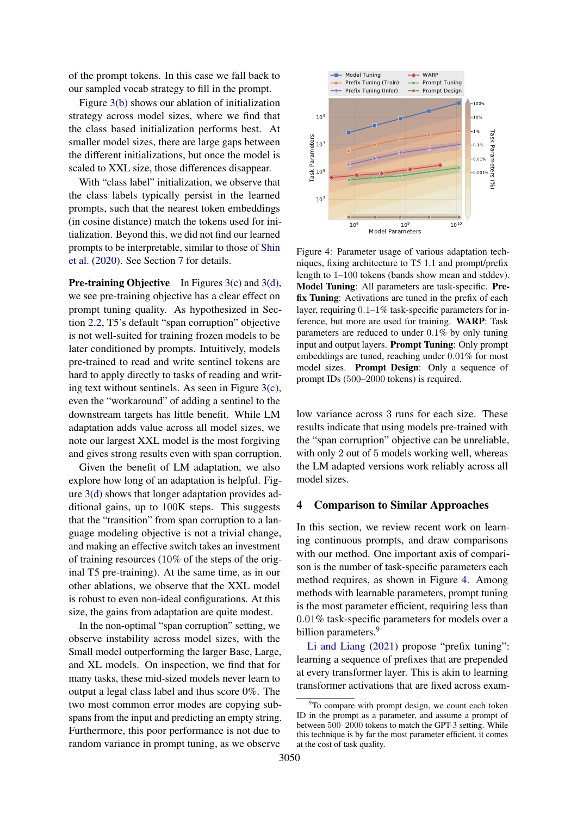of the prompt tokens. In this case we fall back to our sampled vocab strategy to fill in the prompt.

Figure [3\(b\)](#page-4-1) shows our ablation of initialization strategy across model sizes, where we find that the class based initialization performs best. At smaller model sizes, there are large gaps between the different initializations, but once the model is scaled to XXL size, those differences disappear.

With "class label" initialization, we observe that the class labels typically persist in the learned prompts, such that the nearest token embeddings (in cosine distance) match the tokens used for initialization. Beyond this, we did not find our learned prompts to be interpretable, similar to those of [Shin](#page-11-0) [et al.](#page-11-0) [\(2020\)](#page-11-0). See Section [7](#page-8-0) for details.

**Pre-training Objective** In Figures  $3(c)$  and  $3(d)$ , we see pre-training objective has a clear effect on prompt tuning quality. As hypothesized in Section [2.2,](#page-2-0) T5's default "span corruption" objective is not well-suited for training frozen models to be later conditioned by prompts. Intuitively, models pre-trained to read and write sentinel tokens are hard to apply directly to tasks of reading and writing text without sentinels. As seen in Figure [3\(c\),](#page-4-1) even the "workaround" of adding a sentinel to the downstream targets has little benefit. While LM adaptation adds value across all model sizes, we note our largest XXL model is the most forgiving and gives strong results even with span corruption.

Given the benefit of LM adaptation, we also explore how long of an adaptation is helpful. Figure [3\(d\)](#page-4-1) shows that longer adaptation provides additional gains, up to 100K steps. This suggests that the "transition" from span corruption to a language modeling objective is not a trivial change, and making an effective switch takes an investment of training resources (10% of the steps of the original T5 pre-training). At the same time, as in our other ablations, we observe that the XXL model is robust to even non-ideal configurations. At this size, the gains from adaptation are quite modest.

In the non-optimal "span corruption" setting, we observe instability across model sizes, with the Small model outperforming the larger Base, Large, and XL models. On inspection, we find that for many tasks, these mid-sized models never learn to output a legal class label and thus score 0%. The two most common error modes are copying subspans from the input and predicting an empty string. Furthermore, this poor performance is not due to random variance in prompt tuning, as we observe

<span id="page-5-1"></span>

Figure 4: Parameter usage of various adaptation techniques, fixing architecture to T5 1.1 and prompt/prefix length to 1–100 tokens (bands show mean and stddev). Model Tuning: All parameters are task-specific. Prefix Tuning: Activations are tuned in the prefix of each layer, requiring 0.1–1% task-specific parameters for inference, but more are used for training. WARP: Task parameters are reduced to under 0.1% by only tuning input and output layers. Prompt Tuning: Only prompt embeddings are tuned, reaching under 0.01% for most model sizes. Prompt Design: Only a sequence of prompt IDs (500–2000 tokens) is required.

low variance across 3 runs for each size. These results indicate that using models pre-trained with the "span corruption" objective can be unreliable, with only 2 out of 5 models working well, whereas the LM adapted versions work reliably across all model sizes.

# <span id="page-5-0"></span>4 Comparison to Similar Approaches

In this section, we review recent work on learning continuous prompts, and draw comparisons with our method. One important axis of comparison is the number of task-specific parameters each method requires, as shown in Figure [4.](#page-5-1) Among methods with learnable parameters, prompt tuning is the most parameter efficient, requiring less than 0.01% task-specific parameters for models over a billion parameters.<sup>[9](#page-5-2)</sup>

[Li and Liang](#page-10-0) [\(2021\)](#page-10-0) propose "prefix tuning": learning a sequence of prefixes that are prepended at every transformer layer. This is akin to learning transformer activations that are fixed across exam-

<span id="page-5-2"></span> $9^9$ To compare with prompt design, we count each token ID in the prompt as a parameter, and assume a prompt of between 500–2000 tokens to match the GPT-3 setting. While this technique is by far the most parameter efficient, it comes at the cost of task quality.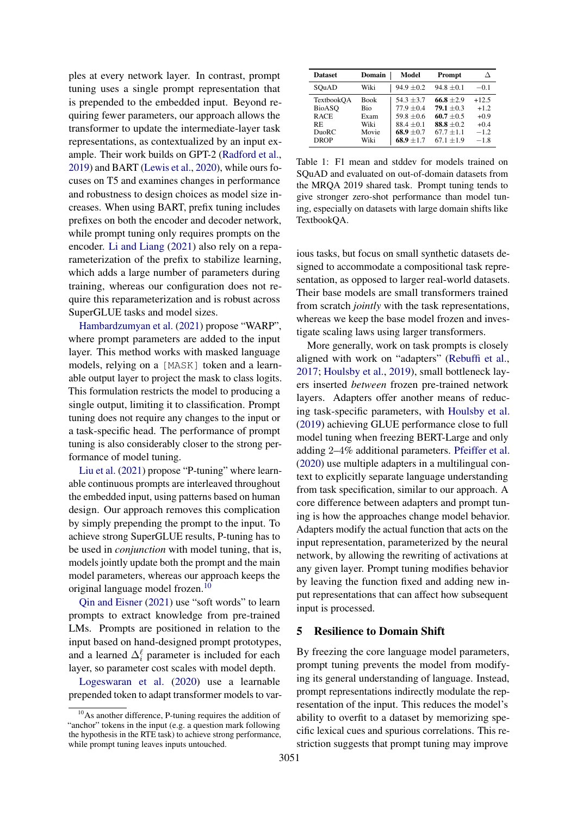ples at every network layer. In contrast, prompt tuning uses a single prompt representation that is prepended to the embedded input. Beyond requiring fewer parameters, our approach allows the transformer to update the intermediate-layer task representations, as contextualized by an input example. Their work builds on GPT-2 [\(Radford et al.,](#page-10-9) [2019\)](#page-10-9) and BART [\(Lewis et al.,](#page-10-10) [2020\)](#page-10-10), while ours focuses on T5 and examines changes in performance and robustness to design choices as model size increases. When using BART, prefix tuning includes prefixes on both the encoder and decoder network, while prompt tuning only requires prompts on the encoder. [Li and Liang](#page-10-0) [\(2021\)](#page-10-0) also rely on a reparameterization of the prefix to stabilize learning, which adds a large number of parameters during training, whereas our configuration does not require this reparameterization and is robust across SuperGLUE tasks and model sizes.

[Hambardzumyan et al.](#page-9-3) [\(2021\)](#page-9-3) propose "WARP", where prompt parameters are added to the input layer. This method works with masked language models, relying on a [MASK] token and a learnable output layer to project the mask to class logits. This formulation restricts the model to producing a single output, limiting it to classification. Prompt tuning does not require any changes to the input or a task-specific head. The performance of prompt tuning is also considerably closer to the strong performance of model tuning.

[Liu et al.](#page-10-11) [\(2021\)](#page-10-11) propose "P-tuning" where learnable continuous prompts are interleaved throughout the embedded input, using patterns based on human design. Our approach removes this complication by simply prepending the prompt to the input. To achieve strong SuperGLUE results, P-tuning has to be used in *conjunction* with model tuning, that is, models jointly update both the prompt and the main model parameters, whereas our approach keeps the original language model frozen.[10](#page-6-1)

[Qin and Eisner](#page-10-12) [\(2021\)](#page-10-12) use "soft words" to learn prompts to extract knowledge from pre-trained LMs. Prompts are positioned in relation to the input based on hand-designed prompt prototypes, and a learned  $\Delta_i^{\ell}$  parameter is included for each layer, so parameter cost scales with model depth.

[Logeswaran et al.](#page-10-13) [\(2020\)](#page-10-13) use a learnable prepended token to adapt transformer models to var-

<span id="page-6-2"></span>

| <b>Dataset</b>                                                           | Domain                                       | Model                                                                                            | Prompt                                                                                       |                                                          |
|--------------------------------------------------------------------------|----------------------------------------------|--------------------------------------------------------------------------------------------------|----------------------------------------------------------------------------------------------|----------------------------------------------------------|
| SOuAD                                                                    | Wiki                                         | $94.9 \pm 0.2$                                                                                   | $94.8 \pm 0.1$                                                                               | $-0.1$                                                   |
| TextbookOA<br><b>BioASO</b><br><b>RACE</b><br>RE<br>DuORC<br><b>DROP</b> | Book<br>Bio<br>Exam<br>Wiki<br>Movie<br>Wiki | $54.3 + 3.7$<br>$77.9 + 0.4$<br>$59.8 \pm 0.6$<br>$88.4 + 0.1$<br>$68.9 + 0.7$<br>$68.9 \pm 1.7$ | $66.8 + 2.9$<br>$79.1 + 0.3$<br>$60.7 + 0.5$<br>$88.8 + 0.2$<br>$67.7 + 1.1$<br>$67.1 + 1.9$ | $+12.5$<br>$+12$<br>$+0.9$<br>$+0.4$<br>$-1.2$<br>$-1.8$ |

Table 1: F1 mean and stddev for models trained on SQuAD and evaluated on out-of-domain datasets from the MRQA 2019 shared task. Prompt tuning tends to give stronger zero-shot performance than model tuning, especially on datasets with large domain shifts like TextbookQA.

ious tasks, but focus on small synthetic datasets designed to accommodate a compositional task representation, as opposed to larger real-world datasets. Their base models are small transformers trained from scratch *jointly* with the task representations, whereas we keep the base model frozen and investigate scaling laws using larger transformers.

More generally, work on task prompts is closely aligned with work on "adapters" [\(Rebuffi et al.,](#page-11-8) [2017;](#page-11-8) [Houlsby et al.,](#page-9-11) [2019\)](#page-9-11), small bottleneck layers inserted *between* frozen pre-trained network layers. Adapters offer another means of reducing task-specific parameters, with [Houlsby et al.](#page-9-11) [\(2019\)](#page-9-11) achieving GLUE performance close to full model tuning when freezing BERT-Large and only adding 2–4% additional parameters. [Pfeiffer et al.](#page-10-14) [\(2020\)](#page-10-14) use multiple adapters in a multilingual context to explicitly separate language understanding from task specification, similar to our approach. A core difference between adapters and prompt tuning is how the approaches change model behavior. Adapters modify the actual function that acts on the input representation, parameterized by the neural network, by allowing the rewriting of activations at any given layer. Prompt tuning modifies behavior by leaving the function fixed and adding new input representations that can affect how subsequent input is processed.

# <span id="page-6-0"></span>5 Resilience to Domain Shift

By freezing the core language model parameters, prompt tuning prevents the model from modifying its general understanding of language. Instead, prompt representations indirectly modulate the representation of the input. This reduces the model's ability to overfit to a dataset by memorizing specific lexical cues and spurious correlations. This restriction suggests that prompt tuning may improve

<span id="page-6-1"></span><sup>&</sup>lt;sup>10</sup>As another difference, P-tuning requires the addition of "anchor" tokens in the input (e.g. a question mark following the hypothesis in the RTE task) to achieve strong performance, while prompt tuning leaves inputs untouched.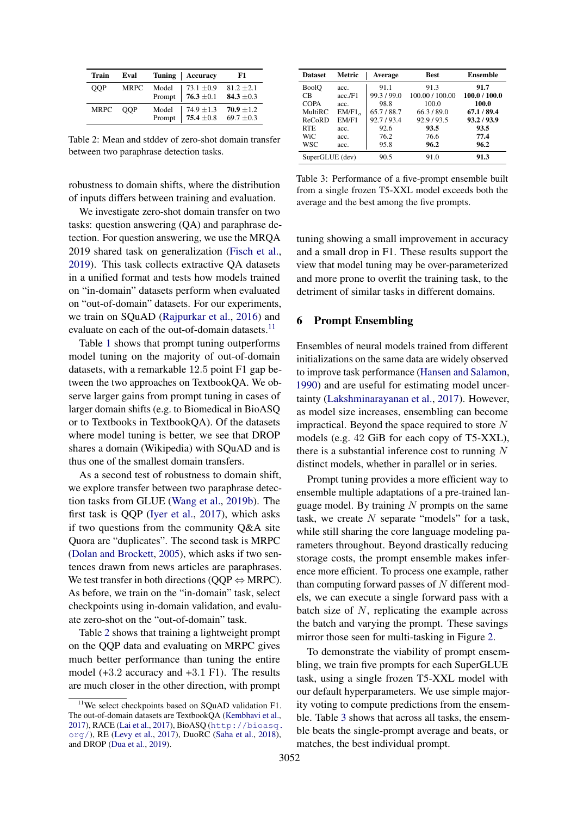<span id="page-7-2"></span>

| Train       | Eval        |                 | Tuning   Accuracy                  | F1                             |
|-------------|-------------|-----------------|------------------------------------|--------------------------------|
| <b>OOP</b>  | <b>MRPC</b> | Model<br>Prompt | 73.1 $\pm$ 0.9<br>  76.3 $\pm$ 0.1 | $81.2 + 2.1$<br>84.3 $\pm$ 0.3 |
| <b>MRPC</b> | <b>OOP</b>  | Model<br>Prompt | $74.9 \pm 1.3$<br>  75.4 $\pm$ 0.8 | $70.9 + 1.2$<br>$69.7 \pm 0.3$ |

Table 2: Mean and stddev of zero-shot domain transfer between two paraphrase detection tasks.

robustness to domain shifts, where the distribution of inputs differs between training and evaluation.

We investigate zero-shot domain transfer on two tasks: question answering (QA) and paraphrase detection. For question answering, we use the MRQA 2019 shared task on generalization [\(Fisch et al.,](#page-9-12) [2019\)](#page-9-12). This task collects extractive QA datasets in a unified format and tests how models trained on "in-domain" datasets perform when evaluated on "out-of-domain" datasets. For our experiments, we train on SQuAD [\(Rajpurkar et al.,](#page-10-15) [2016\)](#page-10-15) and evaluate on each of the out-of-domain datasets.<sup>[11](#page-7-1)</sup>

Table [1](#page-6-2) shows that prompt tuning outperforms model tuning on the majority of out-of-domain datasets, with a remarkable 12.5 point F1 gap between the two approaches on TextbookQA. We observe larger gains from prompt tuning in cases of larger domain shifts (e.g. to Biomedical in BioASQ or to Textbooks in TextbookQA). Of the datasets where model tuning is better, we see that DROP shares a domain (Wikipedia) with SQuAD and is thus one of the smallest domain transfers.

As a second test of robustness to domain shift, we explore transfer between two paraphrase detection tasks from GLUE [\(Wang et al.,](#page-11-9) [2019b\)](#page-11-9). The first task is QQP [\(Iyer et al.,](#page-9-13) [2017\)](#page-9-13), which asks if two questions from the community Q&A site Quora are "duplicates". The second task is MRPC [\(Dolan and Brockett,](#page-9-14) [2005\)](#page-9-14), which asks if two sentences drawn from news articles are paraphrases. We test transfer in both directions ( $QQP \Leftrightarrow MRPC$ ). As before, we train on the "in-domain" task, select checkpoints using in-domain validation, and evaluate zero-shot on the "out-of-domain" task.

Table [2](#page-7-2) shows that training a lightweight prompt on the QQP data and evaluating on MRPC gives much better performance than tuning the entire model (+3.2 accuracy and +3.1 F1). The results are much closer in the other direction, with prompt

<span id="page-7-3"></span>

| <b>Dataset</b>  | <b>Metric</b>      | Average     | <b>Best</b>     | <b>Ensemble</b> |
|-----------------|--------------------|-------------|-----------------|-----------------|
| <b>BoolO</b>    | acc.               | 91.1        | 91.3            | 91.7            |
| CB              | acc.F1             | 99.3/99.0   | 100.00 / 100.00 | 100.0 / 100.0   |
| <b>COPA</b>     | acc.               | 98.8        | 100.0           | 100.0           |
| MultiRC         | EM/F1 <sub>a</sub> | 65.7 / 88.7 | 66.3/89.0       | 67.1/89.4       |
| ReCoRD          | EM/F1              | 92.7/93.4   | 92.9/93.5       | 93.2/93.9       |
| <b>RTE</b>      | acc.               | 92.6        | 93.5            | 93.5            |
| WiC             | acc.               | 76.2        | 76.6            | 77.4            |
| WSC             | acc.               | 95.8        | 96.2            | 96.2            |
| SuperGLUE (dev) |                    | 90.5        | 91.0            | 91.3            |

Table 3: Performance of a five-prompt ensemble built from a single frozen T5-XXL model exceeds both the average and the best among the five prompts.

tuning showing a small improvement in accuracy and a small drop in F1. These results support the view that model tuning may be over-parameterized and more prone to overfit the training task, to the detriment of similar tasks in different domains.

# <span id="page-7-0"></span>6 Prompt Ensembling

Ensembles of neural models trained from different initializations on the same data are widely observed to improve task performance [\(Hansen and Salamon,](#page-9-17) [1990\)](#page-9-17) and are useful for estimating model uncertainty [\(Lakshminarayanan et al.,](#page-10-18) [2017\)](#page-10-18). However, as model size increases, ensembling can become impractical. Beyond the space required to store  $N$ models (e.g. 42 GiB for each copy of T5-XXL), there is a substantial inference cost to running  $N$ distinct models, whether in parallel or in series.

Prompt tuning provides a more efficient way to ensemble multiple adaptations of a pre-trained language model. By training  $N$  prompts on the same task, we create  $N$  separate "models" for a task, while still sharing the core language modeling parameters throughout. Beyond drastically reducing storage costs, the prompt ensemble makes inference more efficient. To process one example, rather than computing forward passes of  $N$  different models, we can execute a single forward pass with a batch size of N, replicating the example across the batch and varying the prompt. These savings mirror those seen for multi-tasking in Figure [2.](#page-1-0)

To demonstrate the viability of prompt ensembling, we train five prompts for each SuperGLUE task, using a single frozen T5-XXL model with our default hyperparameters. We use simple majority voting to compute predictions from the ensemble. Table [3](#page-7-3) shows that across all tasks, the ensemble beats the single-prompt average and beats, or matches, the best individual prompt.

<span id="page-7-1"></span> $11$ We select checkpoints based on SQuAD validation F1. The out-of-domain datasets are TextbookQA [\(Kembhavi et al.,](#page-9-15) [2017\)](#page-9-15), RACE [\(Lai et al.,](#page-10-16) [2017\)](#page-10-16), BioASQ ([http://bioasq.](http://bioasq.org/) [org/](http://bioasq.org/)), RE [\(Levy et al.,](#page-10-17) [2017\)](#page-10-17), DuoRC [\(Saha et al.,](#page-11-10) [2018\)](#page-11-10), and DROP [\(Dua et al.,](#page-9-16) [2019\)](#page-9-16).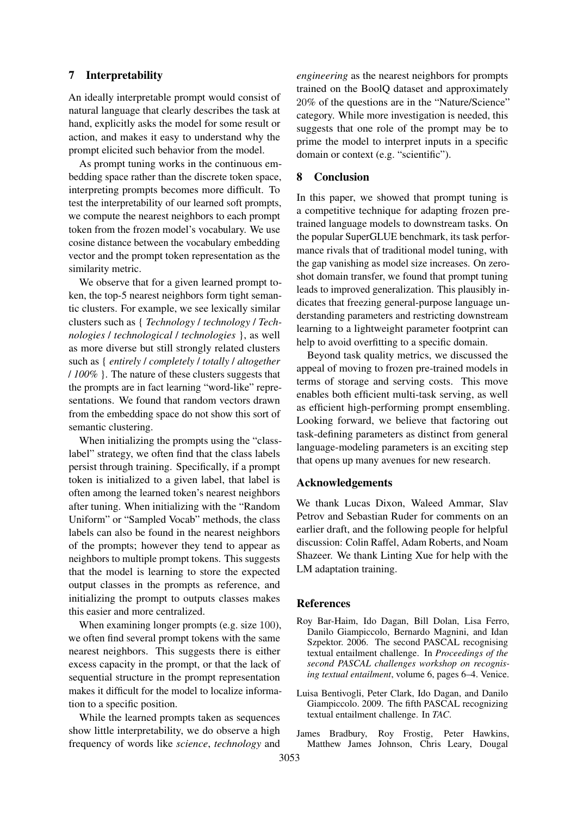# <span id="page-8-0"></span>7 Interpretability

An ideally interpretable prompt would consist of natural language that clearly describes the task at hand, explicitly asks the model for some result or action, and makes it easy to understand why the prompt elicited such behavior from the model.

As prompt tuning works in the continuous embedding space rather than the discrete token space, interpreting prompts becomes more difficult. To test the interpretability of our learned soft prompts, we compute the nearest neighbors to each prompt token from the frozen model's vocabulary. We use cosine distance between the vocabulary embedding vector and the prompt token representation as the similarity metric.

We observe that for a given learned prompt token, the top-5 nearest neighbors form tight semantic clusters. For example, we see lexically similar clusters such as { *Technology* / *technology* / *Technologies* / *technological* / *technologies* }, as well as more diverse but still strongly related clusters such as { *entirely* / *completely* / *totally* / *altogether* / *100%* }. The nature of these clusters suggests that the prompts are in fact learning "word-like" representations. We found that random vectors drawn from the embedding space do not show this sort of semantic clustering.

When initializing the prompts using the "classlabel" strategy, we often find that the class labels persist through training. Specifically, if a prompt token is initialized to a given label, that label is often among the learned token's nearest neighbors after tuning. When initializing with the "Random Uniform" or "Sampled Vocab" methods, the class labels can also be found in the nearest neighbors of the prompts; however they tend to appear as neighbors to multiple prompt tokens. This suggests that the model is learning to store the expected output classes in the prompts as reference, and initializing the prompt to outputs classes makes this easier and more centralized.

When examining longer prompts (e.g. size 100), we often find several prompt tokens with the same nearest neighbors. This suggests there is either excess capacity in the prompt, or that the lack of sequential structure in the prompt representation makes it difficult for the model to localize information to a specific position.

While the learned prompts taken as sequences show little interpretability, we do observe a high frequency of words like *science*, *technology* and *engineering* as the nearest neighbors for prompts trained on the BoolQ dataset and approximately 20% of the questions are in the "Nature/Science" category. While more investigation is needed, this suggests that one role of the prompt may be to prime the model to interpret inputs in a specific domain or context (e.g. "scientific").

### 8 Conclusion

In this paper, we showed that prompt tuning is a competitive technique for adapting frozen pretrained language models to downstream tasks. On the popular SuperGLUE benchmark, its task performance rivals that of traditional model tuning, with the gap vanishing as model size increases. On zeroshot domain transfer, we found that prompt tuning leads to improved generalization. This plausibly indicates that freezing general-purpose language understanding parameters and restricting downstream learning to a lightweight parameter footprint can help to avoid overfitting to a specific domain.

Beyond task quality metrics, we discussed the appeal of moving to frozen pre-trained models in terms of storage and serving costs. This move enables both efficient multi-task serving, as well as efficient high-performing prompt ensembling. Looking forward, we believe that factoring out task-defining parameters as distinct from general language-modeling parameters is an exciting step that opens up many avenues for new research.

### Acknowledgements

We thank Lucas Dixon, Waleed Ammar, Slav Petrov and Sebastian Ruder for comments on an earlier draft, and the following people for helpful discussion: Colin Raffel, Adam Roberts, and Noam Shazeer. We thank Linting Xue for help with the LM adaptation training.

### References

- <span id="page-8-1"></span>Roy Bar-Haim, Ido Dagan, Bill Dolan, Lisa Ferro, Danilo Giampiccolo, Bernardo Magnini, and Idan Szpektor. 2006. The second PASCAL recognising textual entailment challenge. In *Proceedings of the second PASCAL challenges workshop on recognising textual entailment*, volume 6, pages 6–4. Venice.
- <span id="page-8-2"></span>Luisa Bentivogli, Peter Clark, Ido Dagan, and Danilo Giampiccolo. 2009. The fifth PASCAL recognizing textual entailment challenge. In *TAC*.
- <span id="page-8-3"></span>James Bradbury, Roy Frostig, Peter Hawkins, Matthew James Johnson, Chris Leary, Dougal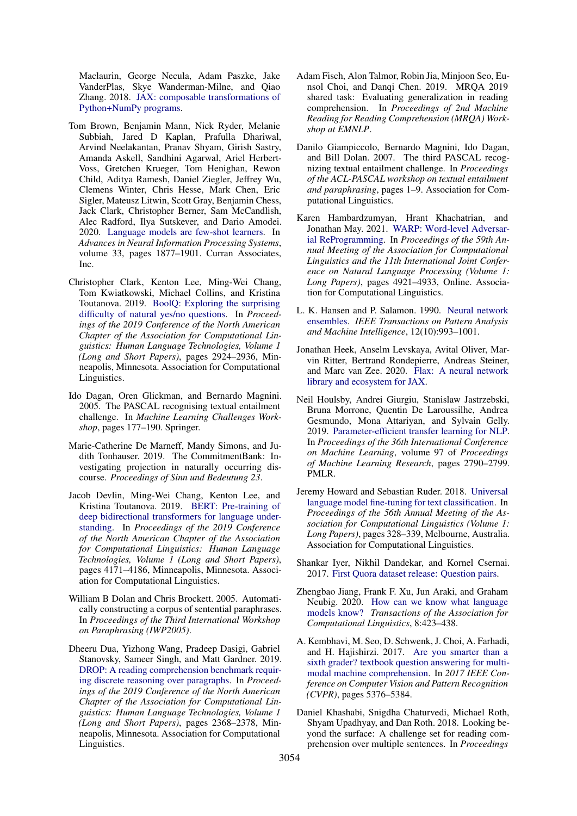Maclaurin, George Necula, Adam Paszke, Jake VanderPlas, Skye Wanderman-Milne, and Qiao Zhang. 2018. [JAX: composable transformations of](http://github.com/google/jax) [Python+NumPy programs.](http://github.com/google/jax)

- <span id="page-9-2"></span>Tom Brown, Benjamin Mann, Nick Ryder, Melanie Subbiah, Jared D Kaplan, Prafulla Dhariwal, Arvind Neelakantan, Pranav Shyam, Girish Sastry, Amanda Askell, Sandhini Agarwal, Ariel Herbert-Voss, Gretchen Krueger, Tom Henighan, Rewon Child, Aditya Ramesh, Daniel Ziegler, Jeffrey Wu, Clemens Winter, Chris Hesse, Mark Chen, Eric Sigler, Mateusz Litwin, Scott Gray, Benjamin Chess, Jack Clark, Christopher Berner, Sam McCandlish, Alec Radford, Ilya Sutskever, and Dario Amodei. 2020. [Language models are few-shot learners.](https://proceedings.neurips.cc/paper/2020/file/1457c0d6bfcb4967418bfb8ac142f64a-Paper.pdf) In *Advances in Neural Information Processing Systems*, volume 33, pages 1877–1901. Curran Associates, Inc.
- <span id="page-9-5"></span>Christopher Clark, Kenton Lee, Ming-Wei Chang, Tom Kwiatkowski, Michael Collins, and Kristina Toutanova. 2019. [BoolQ: Exploring the surprising](https://doi.org/10.18653/v1/N19-1300) [difficulty of natural yes/no questions.](https://doi.org/10.18653/v1/N19-1300) In *Proceedings of the 2019 Conference of the North American Chapter of the Association for Computational Linguistics: Human Language Technologies, Volume 1 (Long and Short Papers)*, pages 2924–2936, Minneapolis, Minnesota. Association for Computational Linguistics.
- <span id="page-9-8"></span>Ido Dagan, Oren Glickman, and Bernardo Magnini. 2005. The PASCAL recognising textual entailment challenge. In *Machine Learning Challenges Workshop*, pages 177–190. Springer.
- <span id="page-9-6"></span>Marie-Catherine De Marneff, Mandy Simons, and Judith Tonhauser. 2019. The CommitmentBank: Investigating projection in naturally occurring discourse. *Proceedings of Sinn und Bedeutung 23*.
- <span id="page-9-0"></span>Jacob Devlin, Ming-Wei Chang, Kenton Lee, and Kristina Toutanova. 2019. [BERT: Pre-training of](https://doi.org/10.18653/v1/N19-1423) [deep bidirectional transformers for language under](https://doi.org/10.18653/v1/N19-1423)[standing.](https://doi.org/10.18653/v1/N19-1423) In *Proceedings of the 2019 Conference of the North American Chapter of the Association for Computational Linguistics: Human Language Technologies, Volume 1 (Long and Short Papers)*, pages 4171–4186, Minneapolis, Minnesota. Association for Computational Linguistics.
- <span id="page-9-14"></span>William B Dolan and Chris Brockett. 2005. Automatically constructing a corpus of sentential paraphrases. In *Proceedings of the Third International Workshop on Paraphrasing (IWP2005)*.
- <span id="page-9-16"></span>Dheeru Dua, Yizhong Wang, Pradeep Dasigi, Gabriel Stanovsky, Sameer Singh, and Matt Gardner. 2019. [DROP: A reading comprehension benchmark requir](https://doi.org/10.18653/v1/N19-1246)[ing discrete reasoning over paragraphs.](https://doi.org/10.18653/v1/N19-1246) In *Proceedings of the 2019 Conference of the North American Chapter of the Association for Computational Linguistics: Human Language Technologies, Volume 1 (Long and Short Papers)*, pages 2368–2378, Minneapolis, Minnesota. Association for Computational Linguistics.
- <span id="page-9-12"></span>Adam Fisch, Alon Talmor, Robin Jia, Minjoon Seo, Eunsol Choi, and Danqi Chen. 2019. MRQA 2019 shared task: Evaluating generalization in reading comprehension. In *Proceedings of 2nd Machine Reading for Reading Comprehension (MRQA) Workshop at EMNLP*.
- <span id="page-9-9"></span>Danilo Giampiccolo, Bernardo Magnini, Ido Dagan, and Bill Dolan. 2007. The third PASCAL recognizing textual entailment challenge. In *Proceedings of the ACL-PASCAL workshop on textual entailment and paraphrasing*, pages 1–9. Association for Computational Linguistics.
- <span id="page-9-3"></span>Karen Hambardzumyan, Hrant Khachatrian, and Jonathan May. 2021. [WARP: Word-level Adversar](https://doi.org/10.18653/v1/2021.acl-long.381)[ial ReProgramming.](https://doi.org/10.18653/v1/2021.acl-long.381) In *Proceedings of the 59th Annual Meeting of the Association for Computational Linguistics and the 11th International Joint Conference on Natural Language Processing (Volume 1: Long Papers)*, pages 4921–4933, Online. Association for Computational Linguistics.
- <span id="page-9-17"></span>L. K. Hansen and P. Salamon. 1990. [Neural network](https://doi.org/10.1109/34.58871) [ensembles.](https://doi.org/10.1109/34.58871) *IEEE Transactions on Pattern Analysis and Machine Intelligence*, 12(10):993–1001.
- <span id="page-9-10"></span>Jonathan Heek, Anselm Levskaya, Avital Oliver, Marvin Ritter, Bertrand Rondepierre, Andreas Steiner, and Marc van Zee. 2020. [Flax: A neural network](http://github.com/google/flax) [library and ecosystem for JAX.](http://github.com/google/flax)
- <span id="page-9-11"></span>Neil Houlsby, Andrei Giurgiu, Stanislaw Jastrzebski, Bruna Morrone, Quentin De Laroussilhe, Andrea Gesmundo, Mona Attariyan, and Sylvain Gelly. 2019. [Parameter-efficient transfer learning for NLP.](http://proceedings.mlr.press/v97/houlsby19a.html) In *Proceedings of the 36th International Conference on Machine Learning*, volume 97 of *Proceedings of Machine Learning Research*, pages 2790–2799. PMLR.
- <span id="page-9-1"></span>Jeremy Howard and Sebastian Ruder. 2018. [Universal](https://doi.org/10.18653/v1/P18-1031) [language model fine-tuning for text classification.](https://doi.org/10.18653/v1/P18-1031) In *Proceedings of the 56th Annual Meeting of the Association for Computational Linguistics (Volume 1: Long Papers)*, pages 328–339, Melbourne, Australia. Association for Computational Linguistics.
- <span id="page-9-13"></span>Shankar Iyer, Nikhil Dandekar, and Kornel Csernai. 2017. [First Quora dataset release: Question pairs.](https://data.quora.com/First-Quora-Dataset-Release-Question-Pairs)
- <span id="page-9-4"></span>Zhengbao Jiang, Frank F. Xu, Jun Araki, and Graham Neubig. 2020. [How can we know what language](https://doi.org/10.1162/tacl_a_00324) [models know?](https://doi.org/10.1162/tacl_a_00324) *Transactions of the Association for Computational Linguistics*, 8:423–438.
- <span id="page-9-15"></span>A. Kembhavi, M. Seo, D. Schwenk, J. Choi, A. Farhadi, and H. Hajishirzi. 2017. [Are you smarter than a](https://doi.org/10.1109/CVPR.2017.571) [sixth grader? textbook question answering for multi](https://doi.org/10.1109/CVPR.2017.571)[modal machine comprehension.](https://doi.org/10.1109/CVPR.2017.571) In *2017 IEEE Conference on Computer Vision and Pattern Recognition (CVPR)*, pages 5376–5384.
- <span id="page-9-7"></span>Daniel Khashabi, Snigdha Chaturvedi, Michael Roth, Shyam Upadhyay, and Dan Roth. 2018. Looking beyond the surface: A challenge set for reading comprehension over multiple sentences. In *Proceedings*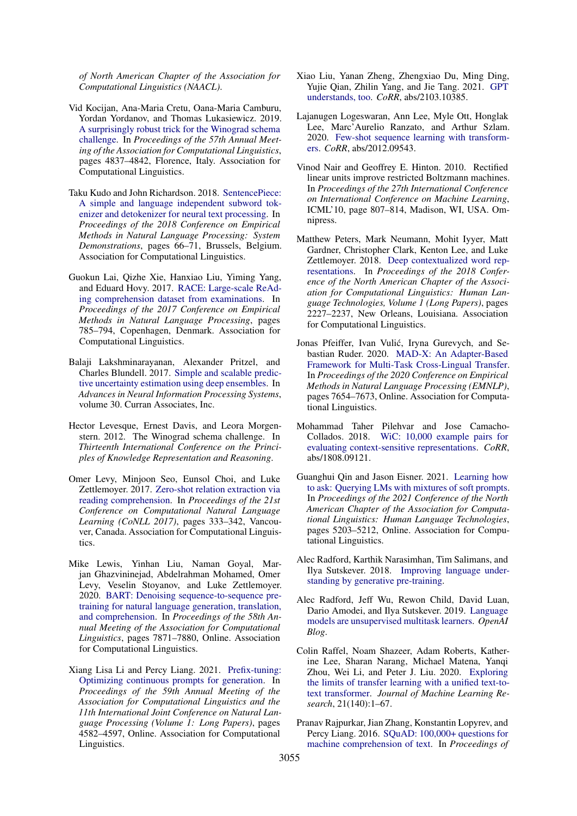*of North American Chapter of the Association for Computational Linguistics (NAACL)*.

- <span id="page-10-7"></span>Vid Kocijan, Ana-Maria Cretu, Oana-Maria Camburu, Yordan Yordanov, and Thomas Lukasiewicz. 2019. [A surprisingly robust trick for the Winograd schema](https://doi.org/10.18653/v1/P19-1478) [challenge.](https://doi.org/10.18653/v1/P19-1478) In *Proceedings of the 57th Annual Meeting of the Association for Computational Linguistics*, pages 4837–4842, Florence, Italy. Association for Computational Linguistics.
- <span id="page-10-8"></span>Taku Kudo and John Richardson. 2018. [SentencePiece:](https://doi.org/10.18653/v1/D18-2012) [A simple and language independent subword tok](https://doi.org/10.18653/v1/D18-2012)[enizer and detokenizer for neural text processing.](https://doi.org/10.18653/v1/D18-2012) In *Proceedings of the 2018 Conference on Empirical Methods in Natural Language Processing: System Demonstrations*, pages 66–71, Brussels, Belgium. Association for Computational Linguistics.
- <span id="page-10-16"></span>Guokun Lai, Qizhe Xie, Hanxiao Liu, Yiming Yang, and Eduard Hovy. 2017. [RACE: Large-scale ReAd](https://doi.org/10.18653/v1/D17-1082)[ing comprehension dataset from examinations.](https://doi.org/10.18653/v1/D17-1082) In *Proceedings of the 2017 Conference on Empirical Methods in Natural Language Processing*, pages 785–794, Copenhagen, Denmark. Association for Computational Linguistics.
- <span id="page-10-18"></span>Balaji Lakshminarayanan, Alexander Pritzel, and Charles Blundell. 2017. [Simple and scalable predic](https://proceedings.neurips.cc/paper/2017/file/9ef2ed4b7fd2c810847ffa5fa85bce38-Paper.pdf)[tive uncertainty estimation using deep ensembles.](https://proceedings.neurips.cc/paper/2017/file/9ef2ed4b7fd2c810847ffa5fa85bce38-Paper.pdf) In *Advances in Neural Information Processing Systems*, volume 30. Curran Associates, Inc.
- <span id="page-10-6"></span>Hector Levesque, Ernest Davis, and Leora Morgenstern. 2012. The Winograd schema challenge. In *Thirteenth International Conference on the Principles of Knowledge Representation and Reasoning*.
- <span id="page-10-17"></span>Omer Levy, Minjoon Seo, Eunsol Choi, and Luke Zettlemoyer. 2017. [Zero-shot relation extraction via](https://doi.org/10.18653/v1/K17-1034) [reading comprehension.](https://doi.org/10.18653/v1/K17-1034) In *Proceedings of the 21st Conference on Computational Natural Language Learning (CoNLL 2017)*, pages 333–342, Vancouver, Canada. Association for Computational Linguistics.
- <span id="page-10-10"></span>Mike Lewis, Yinhan Liu, Naman Goyal, Marjan Ghazvininejad, Abdelrahman Mohamed, Omer Levy, Veselin Stoyanov, and Luke Zettlemoyer. 2020. [BART: Denoising sequence-to-sequence pre](https://doi.org/10.18653/v1/2020.acl-main.703)[training for natural language generation, translation,](https://doi.org/10.18653/v1/2020.acl-main.703) [and comprehension.](https://doi.org/10.18653/v1/2020.acl-main.703) In *Proceedings of the 58th Annual Meeting of the Association for Computational Linguistics*, pages 7871–7880, Online. Association for Computational Linguistics.
- <span id="page-10-0"></span>Xiang Lisa Li and Percy Liang. 2021. [Prefix-tuning:](https://doi.org/10.18653/v1/2021.acl-long.353) [Optimizing continuous prompts for generation.](https://doi.org/10.18653/v1/2021.acl-long.353) In *Proceedings of the 59th Annual Meeting of the Association for Computational Linguistics and the 11th International Joint Conference on Natural Language Processing (Volume 1: Long Papers)*, pages 4582–4597, Online. Association for Computational Linguistics.
- <span id="page-10-11"></span>Xiao Liu, Yanan Zheng, Zhengxiao Du, Ming Ding, Yujie Qian, Zhilin Yang, and Jie Tang. 2021. [GPT](http://arxiv.org/abs/2103.10385) [understands, too.](http://arxiv.org/abs/2103.10385) *CoRR*, abs/2103.10385.
- <span id="page-10-13"></span>Lajanugen Logeswaran, Ann Lee, Myle Ott, Honglak Lee, Marc'Aurelio Ranzato, and Arthur Szlam. 2020. [Few-shot sequence learning with transform](http://arxiv.org/abs/2012.09543)[ers.](http://arxiv.org/abs/2012.09543) *CoRR*, abs/2012.09543.
- <span id="page-10-4"></span>Vinod Nair and Geoffrey E. Hinton. 2010. Rectified linear units improve restricted Boltzmann machines. In *Proceedings of the 27th International Conference on International Conference on Machine Learning*, ICML'10, page 807–814, Madison, WI, USA. Omnipress.
- <span id="page-10-1"></span>Matthew Peters, Mark Neumann, Mohit Iyyer, Matt Gardner, Christopher Clark, Kenton Lee, and Luke Zettlemoyer. 2018. [Deep contextualized word rep](https://doi.org/10.18653/v1/N18-1202)[resentations.](https://doi.org/10.18653/v1/N18-1202) In *Proceedings of the 2018 Conference of the North American Chapter of the Association for Computational Linguistics: Human Language Technologies, Volume 1 (Long Papers)*, pages 2227–2237, New Orleans, Louisiana. Association for Computational Linguistics.
- <span id="page-10-14"></span>Jonas Pfeiffer, Ivan Vulić, Iryna Gurevych, and Sebastian Ruder. 2020. [MAD-X: An Adapter-Based](https://doi.org/10.18653/v1/2020.emnlp-main.617) [Framework for Multi-Task Cross-Lingual Transfer.](https://doi.org/10.18653/v1/2020.emnlp-main.617) In *Proceedings of the 2020 Conference on Empirical Methods in Natural Language Processing (EMNLP)*, pages 7654–7673, Online. Association for Computational Linguistics.
- <span id="page-10-5"></span>Mohammad Taher Pilehvar and Jose Camacho-Collados. 2018. [WiC: 10,000 example pairs for](http://arxiv.org/abs/1808.09121) [evaluating context-sensitive representations.](http://arxiv.org/abs/1808.09121) *CoRR*, abs/1808.09121.
- <span id="page-10-12"></span>Guanghui Qin and Jason Eisner. 2021. [Learning how](https://doi.org/10.18653/v1/2021.naacl-main.410) [to ask: Querying LMs with mixtures of soft prompts.](https://doi.org/10.18653/v1/2021.naacl-main.410) In *Proceedings of the 2021 Conference of the North American Chapter of the Association for Computational Linguistics: Human Language Technologies*, pages 5203–5212, Online. Association for Computational Linguistics.
- <span id="page-10-2"></span>Alec Radford, Karthik Narasimhan, Tim Salimans, and Ilya Sutskever. 2018. [Improving language under](https://s3-us-west-2.amazonaws.com/openai-assets/research-covers/language-unsupervised/language_understanding_paper.pdf)[standing by generative pre-training.](https://s3-us-west-2.amazonaws.com/openai-assets/research-covers/language-unsupervised/language_understanding_paper.pdf)
- <span id="page-10-9"></span>Alec Radford, Jeff Wu, Rewon Child, David Luan, Dario Amodei, and Ilya Sutskever. 2019. [Language](https://d4mucfpksywv.cloudfront.net/better-language-models/language_models_are_unsupervised_multitask_learners.pdf) [models are unsupervised multitask learners.](https://d4mucfpksywv.cloudfront.net/better-language-models/language_models_are_unsupervised_multitask_learners.pdf) *OpenAI Blog*.
- <span id="page-10-3"></span>Colin Raffel, Noam Shazeer, Adam Roberts, Katherine Lee, Sharan Narang, Michael Matena, Yanqi Zhou, Wei Li, and Peter J. Liu. 2020. [Exploring](http://jmlr.org/papers/v21/20-074.html) [the limits of transfer learning with a unified text-to](http://jmlr.org/papers/v21/20-074.html)[text transformer.](http://jmlr.org/papers/v21/20-074.html) *Journal of Machine Learning Research*, 21(140):1–67.
- <span id="page-10-15"></span>Pranav Rajpurkar, Jian Zhang, Konstantin Lopyrev, and Percy Liang. 2016. [SQuAD: 100,000+ questions for](https://doi.org/10.18653/v1/D16-1264) [machine comprehension of text.](https://doi.org/10.18653/v1/D16-1264) In *Proceedings of*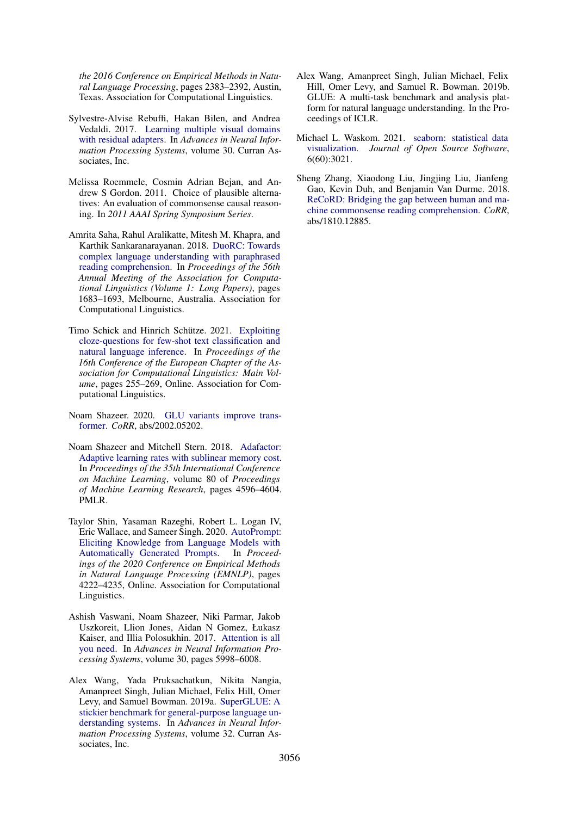*the 2016 Conference on Empirical Methods in Natural Language Processing*, pages 2383–2392, Austin, Texas. Association for Computational Linguistics.

- <span id="page-11-8"></span>Sylvestre-Alvise Rebuffi, Hakan Bilen, and Andrea Vedaldi. 2017. [Learning multiple visual domains](https://proceedings.neurips.cc/paper/2017/file/e7b24b112a44fdd9ee93bdf998c6ca0e-Paper.pdf) [with residual adapters.](https://proceedings.neurips.cc/paper/2017/file/e7b24b112a44fdd9ee93bdf998c6ca0e-Paper.pdf) In *Advances in Neural Information Processing Systems*, volume 30. Curran Associates, Inc.
- <span id="page-11-5"></span>Melissa Roemmele, Cosmin Adrian Bejan, and Andrew S Gordon. 2011. Choice of plausible alternatives: An evaluation of commonsense causal reasoning. In *2011 AAAI Spring Symposium Series*.
- <span id="page-11-10"></span>Amrita Saha, Rahul Aralikatte, Mitesh M. Khapra, and Karthik Sankaranarayanan. 2018. [DuoRC: Towards](https://doi.org/10.18653/v1/P18-1156) [complex language understanding with paraphrased](https://doi.org/10.18653/v1/P18-1156) [reading comprehension.](https://doi.org/10.18653/v1/P18-1156) In *Proceedings of the 56th Annual Meeting of the Association for Computational Linguistics (Volume 1: Long Papers)*, pages 1683–1693, Melbourne, Australia. Association for Computational Linguistics.
- <span id="page-11-2"></span>Timo Schick and Hinrich Schütze. 2021. [Exploiting](https://aclanthology.org/2021.eacl-main.20) [cloze-questions for few-shot text classification and](https://aclanthology.org/2021.eacl-main.20) [natural language inference.](https://aclanthology.org/2021.eacl-main.20) In *Proceedings of the 16th Conference of the European Chapter of the Association for Computational Linguistics: Main Volume*, pages 255–269, Online. Association for Computational Linguistics.
- <span id="page-11-4"></span>Noam Shazeer. 2020. [GLU variants improve trans](http://arxiv.org/abs/2002.05202)[former.](http://arxiv.org/abs/2002.05202) *CoRR*, abs/2002.05202.
- <span id="page-11-7"></span>Noam Shazeer and Mitchell Stern. 2018. [Adafactor:](http://proceedings.mlr.press/v80/shazeer18a.html) [Adaptive learning rates with sublinear memory cost.](http://proceedings.mlr.press/v80/shazeer18a.html) In *Proceedings of the 35th International Conference on Machine Learning*, volume 80 of *Proceedings of Machine Learning Research*, pages 4596–4604. PMLR.
- <span id="page-11-0"></span>Taylor Shin, Yasaman Razeghi, Robert L. Logan IV, Eric Wallace, and Sameer Singh. 2020. [AutoPrompt:](https://doi.org/10.18653/v1/2020.emnlp-main.346) [Eliciting Knowledge from Language Models with](https://doi.org/10.18653/v1/2020.emnlp-main.346) [Automatically Generated Prompts.](https://doi.org/10.18653/v1/2020.emnlp-main.346) In *Proceedings of the 2020 Conference on Empirical Methods in Natural Language Processing (EMNLP)*, pages 4222–4235, Online. Association for Computational Linguistics.
- <span id="page-11-1"></span>Ashish Vaswani, Noam Shazeer, Niki Parmar, Jakob Uszkoreit, Llion Jones, Aidan N Gomez, Łukasz Kaiser, and Illia Polosukhin. 2017. [Attention is all](https://proceedings.neurips.cc/paper/2017/file/3f5ee243547dee91fbd053c1c4a845aa-Paper.pdf) [you need.](https://proceedings.neurips.cc/paper/2017/file/3f5ee243547dee91fbd053c1c4a845aa-Paper.pdf) In *Advances in Neural Information Processing Systems*, volume 30, pages 5998–6008.
- <span id="page-11-3"></span>Alex Wang, Yada Pruksachatkun, Nikita Nangia, Amanpreet Singh, Julian Michael, Felix Hill, Omer Levy, and Samuel Bowman. 2019a. [SuperGLUE: A](https://proceedings.neurips.cc/paper/2019/file/4496bf24afe7fab6f046bf4923da8de6-Paper.pdf) [stickier benchmark for general-purpose language un](https://proceedings.neurips.cc/paper/2019/file/4496bf24afe7fab6f046bf4923da8de6-Paper.pdf)[derstanding systems.](https://proceedings.neurips.cc/paper/2019/file/4496bf24afe7fab6f046bf4923da8de6-Paper.pdf) In *Advances in Neural Information Processing Systems*, volume 32. Curran Associates, Inc.
- <span id="page-11-9"></span>Alex Wang, Amanpreet Singh, Julian Michael, Felix Hill, Omer Levy, and Samuel R. Bowman. 2019b. GLUE: A multi-task benchmark and analysis platform for natural language understanding. In the Proceedings of ICLR.
- <span id="page-11-11"></span>Michael L. Waskom. 2021. [seaborn: statistical data](https://doi.org/10.21105/joss.03021) [visualization.](https://doi.org/10.21105/joss.03021) *Journal of Open Source Software*, 6(60):3021.
- <span id="page-11-6"></span>Sheng Zhang, Xiaodong Liu, Jingjing Liu, Jianfeng Gao, Kevin Duh, and Benjamin Van Durme. 2018. [ReCoRD: Bridging the gap between human and ma](http://arxiv.org/abs/1810.12885)[chine commonsense reading comprehension.](http://arxiv.org/abs/1810.12885) *CoRR*, abs/1810.12885.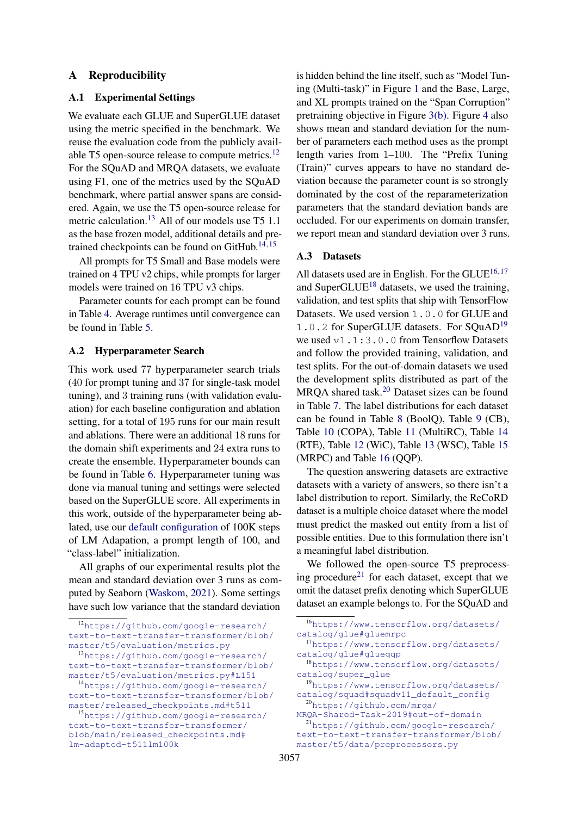# <span id="page-12-0"></span>A Reproducibility

#### A.1 Experimental Settings

We evaluate each GLUE and SuperGLUE dataset using the metric specified in the benchmark. We reuse the evaluation code from the publicly avail-able T5 open-source release to compute metrics.<sup>[12](#page-12-1)</sup> For the SQuAD and MRQA datasets, we evaluate using F1, one of the metrics used by the SQuAD benchmark, where partial answer spans are considered. Again, we use the T5 open-source release for metric calculation.<sup>[13](#page-12-2)</sup> All of our models use T5 1.1 as the base frozen model, additional details and pre-trained checkpoints can be found on GitHub.<sup>[14,](#page-12-3)[15](#page-12-4)</sup>

All prompts for T5 Small and Base models were trained on 4 TPU v2 chips, while prompts for larger models were trained on 16 TPU v3 chips.

Parameter counts for each prompt can be found in Table [4.](#page-13-0) Average runtimes until convergence can be found in Table [5.](#page-13-1)

### A.2 Hyperparameter Search

This work used 77 hyperparameter search trials (40 for prompt tuning and 37 for single-task model tuning), and 3 training runs (with validation evaluation) for each baseline configuration and ablation setting, for a total of 195 runs for our main result and ablations. There were an additional 18 runs for the domain shift experiments and 24 extra runs to create the ensemble. Hyperparameter bounds can be found in Table [6.](#page-14-0) Hyperparameter tuning was done via manual tuning and settings were selected based on the SuperGLUE score. All experiments in this work, outside of the hyperparameter being ablated, use our [default configuration](#page-3-0) of 100K steps of LM Adapation, a prompt length of 100, and "class-label" initialization.

All graphs of our experimental results plot the mean and standard deviation over 3 runs as computed by Seaborn [\(Waskom,](#page-11-11) [2021\)](#page-11-11). Some settings have such low variance that the standard deviation

is hidden behind the line itself, such as "Model Tuning (Multi-task)" in Figure [1](#page-0-1) and the Base, Large, and XL prompts trained on the "Span Corruption" pretraining objective in Figure [3\(b\).](#page-4-1) Figure [4](#page-5-1) also shows mean and standard deviation for the number of parameters each method uses as the prompt length varies from 1–100. The "Prefix Tuning (Train)" curves appears to have no standard deviation because the parameter count is so strongly dominated by the cost of the reparameterization parameters that the standard deviation bands are occluded. For our experiments on domain transfer, we report mean and standard deviation over 3 runs.

#### A.3 Datasets

All datasets used are in English. For the  $GLUE^{16,17}$  $GLUE^{16,17}$  $GLUE^{16,17}$  $GLUE^{16,17}$ and SuperGLUE<sup>[18](#page-12-7)</sup> datasets, we used the training, validation, and test splits that ship with TensorFlow Datasets. We used version 1.0.0 for GLUE and 1.0.2 for SuperGLUE datasets. For SQuAD<sup>[19](#page-12-8)</sup> we used  $v1.1:3.0.0$  from Tensorflow Datasets and follow the provided training, validation, and test splits. For the out-of-domain datasets we used the development splits distributed as part of the MRQA shared task.<sup>[20](#page-12-9)</sup> Dataset sizes can be found in Table [7.](#page-14-1) The label distributions for each dataset can be found in Table [8](#page-14-2) (BoolQ), Table [9](#page-14-3) (CB), Table [10](#page-14-4) (COPA), Table [11](#page-14-5) (MultiRC), Table [14](#page-14-6) (RTE), Table [12](#page-14-7) (WiC), Table [13](#page-14-8) (WSC), Table [15](#page-14-9) (MRPC) and Table [16](#page-14-10) (QQP).

The question answering datasets are extractive datasets with a variety of answers, so there isn't a label distribution to report. Similarly, the ReCoRD dataset is a multiple choice dataset where the model must predict the masked out entity from a list of possible entities. Due to this formulation there isn't a meaningful label distribution.

We followed the open-source T5 preprocess-ing procedure<sup>[21](#page-12-10)</sup> for each dataset, except that we omit the dataset prefix denoting which SuperGLUE dataset an example belongs to. For the SQuAD and

<span id="page-12-1"></span><sup>12</sup>[https://github.com/google-research/](https://github.com/google-research/text-to-text-transfer-transformer/blob/master/t5/evaluation/metrics.py) [text-to-text-transfer-transformer/blob/](https://github.com/google-research/text-to-text-transfer-transformer/blob/master/t5/evaluation/metrics.py) [master/t5/evaluation/metrics.py](https://github.com/google-research/text-to-text-transfer-transformer/blob/master/t5/evaluation/metrics.py)

<span id="page-12-2"></span><sup>13</sup>[https://github.com/google-research/](https://github.com/google-research/text-to-text-transfer-transformer/blob/master/t5/evaluation/metrics.py##L151) [text-to-text-transfer-transformer/blob/](https://github.com/google-research/text-to-text-transfer-transformer/blob/master/t5/evaluation/metrics.py##L151) [master/t5/evaluation/metrics.py#L151](https://github.com/google-research/text-to-text-transfer-transformer/blob/master/t5/evaluation/metrics.py##L151)

<span id="page-12-3"></span><sup>14</sup>[https://github.com/google-research/](https://github.com/google-research/text-to-text-transfer-transformer/blob/master/released_checkpoints.md##t511) [text-to-text-transfer-transformer/blob/](https://github.com/google-research/text-to-text-transfer-transformer/blob/master/released_checkpoints.md##t511) [master/released\\_checkpoints.md#t511](https://github.com/google-research/text-to-text-transfer-transformer/blob/master/released_checkpoints.md##t511)

<span id="page-12-4"></span><sup>15</sup>[https://github.com/google-research/](https://github.com/google-research/text-to-text-transfer-transformer/blob/main/released_checkpoints.md##lm-adapted-t511lm100k) [text-to-text-transfer-transformer/](https://github.com/google-research/text-to-text-transfer-transformer/blob/main/released_checkpoints.md##lm-adapted-t511lm100k) [blob/main/released\\_checkpoints.md#](https://github.com/google-research/text-to-text-transfer-transformer/blob/main/released_checkpoints.md##lm-adapted-t511lm100k) [lm-adapted-t511lm100k](https://github.com/google-research/text-to-text-transfer-transformer/blob/main/released_checkpoints.md##lm-adapted-t511lm100k)

<span id="page-12-10"></span><span id="page-12-9"></span><span id="page-12-8"></span><span id="page-12-7"></span><span id="page-12-6"></span><span id="page-12-5"></span><sup>16</sup>[https://www.tensorflow.org/datasets/](https://www.tensorflow.org/datasets/catalog/glue##gluemrpc) [catalog/glue#gluemrpc](https://www.tensorflow.org/datasets/catalog/glue##gluemrpc) <sup>17</sup>[https://www.tensorflow.org/datasets/](https://www.tensorflow.org/datasets/catalog/glue##glueqqp) [catalog/glue#glueqqp](https://www.tensorflow.org/datasets/catalog/glue##glueqqp) <sup>18</sup>[https://www.tensorflow.org/datasets/](https://www.tensorflow.org/datasets/catalog/super_glue) [catalog/super\\_glue](https://www.tensorflow.org/datasets/catalog/super_glue) <sup>19</sup>[https://www.tensorflow.org/datasets/](https://www.tensorflow.org/datasets/catalog/squad##squadv11_default_config) [catalog/squad#squadv11\\_default\\_config](https://www.tensorflow.org/datasets/catalog/squad##squadv11_default_config) <sup>20</sup>[https://github.com/mrqa/](https://github.com/mrqa/MRQA-Shared-Task-2019##out-of-domain) [MRQA-Shared-Task-2019#out-of-domain](https://github.com/mrqa/MRQA-Shared-Task-2019##out-of-domain) <sup>21</sup>[https://github.com/google-research/](https://github.com/google-research/text-to-text-transfer-transformer/blob/master/t5/data/preprocessors.py) [text-to-text-transfer-transformer/blob/](https://github.com/google-research/text-to-text-transfer-transformer/blob/master/t5/data/preprocessors.py) [master/t5/data/preprocessors.py](https://github.com/google-research/text-to-text-transfer-transformer/blob/master/t5/data/preprocessors.py)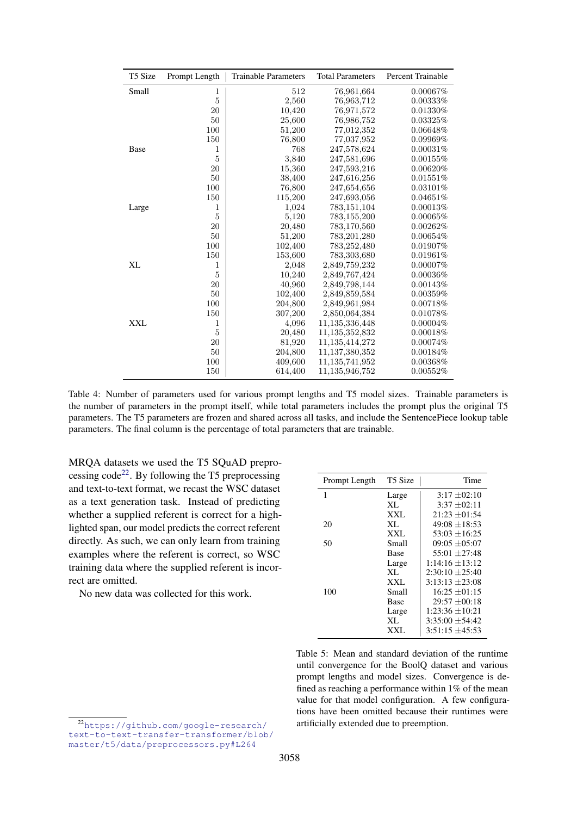<span id="page-13-0"></span>

| T5 Size     | Prompt Length | <b>Trainable Parameters</b> | <b>Total Parameters</b> | Percent Trainable |
|-------------|---------------|-----------------------------|-------------------------|-------------------|
| Small       | 1             | 512                         | 76,961,664              | 0.00067%          |
|             | 5             | 2,560                       | 76,963,712              | $0.00333\%$       |
|             | 20            | 10,420                      | 76,971,572              | 0.01330%          |
|             | 50            | 25,600                      | 76,986,752              | 0.03325%          |
|             | 100           | 51,200                      | 77,012,352              | 0.06648%          |
|             | 150           | 76,800                      | 77,037,952              | 0.09969%          |
| <b>Base</b> | 1             | 768                         | 247,578,624             | 0.00031%          |
|             | 5             | 3,840                       | 247,581,696             | 0.00155%          |
|             | 20            | 15,360                      | 247,593,216             | 0.00620%          |
|             | 50            | 38,400                      | 247,616,256             | 0.01551%          |
|             | 100           | 76,800                      | 247,654,656             | 0.03101%          |
|             | 150           | 115,200                     | 247,693,056             | 0.04651%          |
| Large       | 1             | 1,024                       | 783,151,104             | 0.00013%          |
|             | 5             | 5,120                       | 783,155,200             | 0.00065%          |
|             | 20            | 20,480                      | 783,170,560             | 0.00262%          |
|             | 50            | 51,200                      | 783, 201, 280           | 0.00654%          |
|             | 100           | 102,400                     | 783,252,480             | 0.01907%          |
|             | 150           | 153,600                     | 783,303,680             | $0.01961\%$       |
| XL          | 1             | 2,048                       | 2,849,759,232           | 0.00007%          |
|             | 5             | 10,240                      | 2,849,767,424           | 0.00036%          |
|             | 20            | 40,960                      | 2,849,798,144           | 0.00143%          |
|             | 50            | 102,400                     | 2,849,859,584           | 0.00359%          |
|             | 100           | 204,800                     | 2,849,961,984           | 0.00718%          |
|             | 150           | 307,200                     | 2,850,064,384           | 0.01078%          |
| XXL         | 1             | 4,096                       | 11,135,336,448          | $0.00004\%$       |
|             | 5             | 20,480                      | 11, 135, 352, 832       | 0.00018%          |
|             | 20            | 81,920                      | 11, 135, 414, 272       | 0.00074%          |
|             | 50            | 204,800                     | 11,137,380,352          | 0.00184%          |
|             | 100           | 409,600                     | 11, 135, 741, 952       | 0.00368%          |
|             | 150           | 614,400                     | 11,135,946,752          | 0.00552%          |

Table 4: Number of parameters used for various prompt lengths and T5 model sizes. Trainable parameters is the number of parameters in the prompt itself, while total parameters includes the prompt plus the original T5 parameters. The T5 parameters are frozen and shared across all tasks, and include the SentencePiece lookup table parameters. The final column is the percentage of total parameters that are trainable.

MRQA datasets we used the T5 SQuAD preprocessing  $\c{code}^{22}$  $\c{code}^{22}$  $\c{code}^{22}$ . By following the T5 preprocessing and text-to-text format, we recast the WSC dataset as a text generation task. Instead of predicting whether a supplied referent is correct for a highlighted span, our model predicts the correct referent directly. As such, we can only learn from training examples where the referent is correct, so WSC training data where the supplied referent is incorrect are omitted.

No new data was collected for this work.

<span id="page-13-1"></span>

| Prompt Length | T5 Size | Time                |
|---------------|---------|---------------------|
| 1             | Large   | $3:17 + 02:10$      |
|               | XL      | $3:37 + 02:11$      |
|               | XXI.    | $21:23 + 01:54$     |
| 20            | XL      | $49:08 + 18:53$     |
|               | XXI.    | $53:03 + 16:25$     |
| 50            | Small   | $09:05 + 05:07$     |
|               | Base    | $55:01 + 27:48$     |
|               | Large   | $1:14:16 + 13:12$   |
|               | XL      | $2:30:10 + 25:40$   |
|               | XXI.    | $3:13:13+23:08$     |
| 100           | Small   | $16:25 + 01:15$     |
|               | Base    | $29:57 + 00:18$     |
|               | Large   | $1:23:36+10:21$     |
|               | XL      | $3:35:00 \pm 54:42$ |
|               | XXL     | $3:51:15 + 45:53$   |

Table 5: Mean and standard deviation of the runtime until convergence for the BoolQ dataset and various prompt lengths and model sizes. Convergence is defined as reaching a performance within 1% of the mean value for that model configuration. A few configurations have been omitted because their runtimes were artificially extended due to preemption.

<span id="page-13-2"></span><sup>22</sup>[https://github.com/google-research/](https://github.com/google-research/text-to-text-transfer-transformer/blob/master/t5/data/preprocessors.py##L264) [text-to-text-transfer-transformer/blob/](https://github.com/google-research/text-to-text-transfer-transformer/blob/master/t5/data/preprocessors.py##L264) [master/t5/data/preprocessors.py#L264](https://github.com/google-research/text-to-text-transfer-transformer/blob/master/t5/data/preprocessors.py##L264)